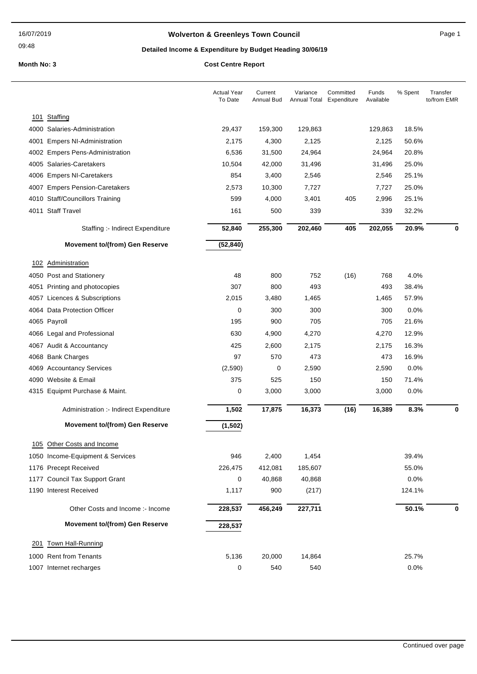## **Wolverton & Greenleys Town Council** Magnetic Page 1

09:48

## **Detailed Income & Expenditure by Budget Heading 30/06/19**

|     |                                        | <b>Actual Year</b><br>To Date | Current<br>Annual Bud | Variance<br>Annual Total | Committed<br>Expenditure | Funds<br>Available | % Spent | Transfer<br>to/from EMR |
|-----|----------------------------------------|-------------------------------|-----------------------|--------------------------|--------------------------|--------------------|---------|-------------------------|
| 101 | Staffing                               |                               |                       |                          |                          |                    |         |                         |
|     | 4000 Salaries-Administration           | 29,437                        | 159,300               | 129,863                  |                          | 129,863            | 18.5%   |                         |
|     | 4001 Empers NI-Administration          | 2,175                         | 4,300                 | 2,125                    |                          | 2,125              | 50.6%   |                         |
|     | 4002 Empers Pens-Administration        | 6,536                         | 31,500                | 24,964                   |                          | 24,964             | 20.8%   |                         |
|     | 4005 Salaries-Caretakers               | 10,504                        | 42,000                | 31,496                   |                          | 31,496             | 25.0%   |                         |
|     | 4006 Empers NI-Caretakers              | 854                           | 3,400                 | 2,546                    |                          | 2,546              | 25.1%   |                         |
|     | 4007 Empers Pension-Caretakers         | 2,573                         | 10,300                | 7,727                    |                          | 7,727              | 25.0%   |                         |
|     | 4010 Staff/Councillors Training        | 599                           | 4,000                 | 3,401                    | 405                      | 2,996              | 25.1%   |                         |
|     | 4011 Staff Travel                      | 161                           | 500                   | 339                      |                          | 339                | 32.2%   |                         |
|     | Staffing :- Indirect Expenditure       | 52,840                        | 255,300               | 202,460                  | 405                      | 202,055            | 20.9%   | 0                       |
|     | <b>Movement to/(from) Gen Reserve</b>  | (52, 840)                     |                       |                          |                          |                    |         |                         |
|     | 102 Administration                     |                               |                       |                          |                          |                    |         |                         |
|     | 4050 Post and Stationery               | 48                            | 800                   | 752                      | (16)                     | 768                | 4.0%    |                         |
|     | 4051 Printing and photocopies          | 307                           | 800                   | 493                      |                          | 493                | 38.4%   |                         |
|     | 4057 Licences & Subscriptions          | 2,015                         | 3,480                 | 1,465                    |                          | 1,465              | 57.9%   |                         |
|     | 4064 Data Protection Officer           | 0                             | 300                   | 300                      |                          | 300                | 0.0%    |                         |
|     | 4065 Payroll                           | 195                           | 900                   | 705                      |                          | 705                | 21.6%   |                         |
|     | 4066 Legal and Professional            | 630                           | 4,900                 | 4,270                    |                          | 4,270              | 12.9%   |                         |
|     | 4067 Audit & Accountancy               | 425                           | 2,600                 | 2,175                    |                          | 2,175              | 16.3%   |                         |
|     | 4068 Bank Charges                      | 97                            | 570                   | 473                      |                          | 473                | 16.9%   |                         |
|     | 4069 Accountancy Services              | (2,590)                       | 0                     | 2,590                    |                          | 2,590              | 0.0%    |                         |
|     | 4090 Website & Email                   | 375                           | 525                   | 150                      |                          | 150                | 71.4%   |                         |
|     | 4315 Equipmt Purchase & Maint.         | 0                             | 3,000                 | 3,000                    |                          | 3,000              | 0.0%    |                         |
|     | Administration :- Indirect Expenditure | 1,502                         | 17,875                | 16,373                   | (16)                     | 16,389             | 8.3%    | 0                       |
|     | <b>Movement to/(from) Gen Reserve</b>  | (1, 502)                      |                       |                          |                          |                    |         |                         |
|     | 105 Other Costs and Income             |                               |                       |                          |                          |                    |         |                         |
|     | 1050 Income-Equipment & Services       | 946                           | 2,400                 | 1,454                    |                          |                    | 39.4%   |                         |
|     | 1176 Precept Received                  | 226,475                       | 412,081               | 185,607                  |                          |                    | 55.0%   |                         |
|     | 1177 Council Tax Support Grant         | 0                             | 40,868                | 40,868                   |                          |                    | 0.0%    |                         |
|     | 1190 Interest Received                 | 1,117                         | 900                   | (217)                    |                          |                    | 124.1%  |                         |
|     | Other Costs and Income :- Income       | 228,537                       | 456,249               | 227,711                  |                          |                    | 50.1%   | 0                       |
|     | <b>Movement to/(from) Gen Reserve</b>  | 228,537                       |                       |                          |                          |                    |         |                         |
| 201 | Town Hall-Running                      |                               |                       |                          |                          |                    |         |                         |
|     | 1000 Rent from Tenants                 | 5,136                         | 20,000                | 14,864                   |                          |                    | 25.7%   |                         |
|     | 1007 Internet recharges                | 0                             | 540                   | 540                      |                          |                    | 0.0%    |                         |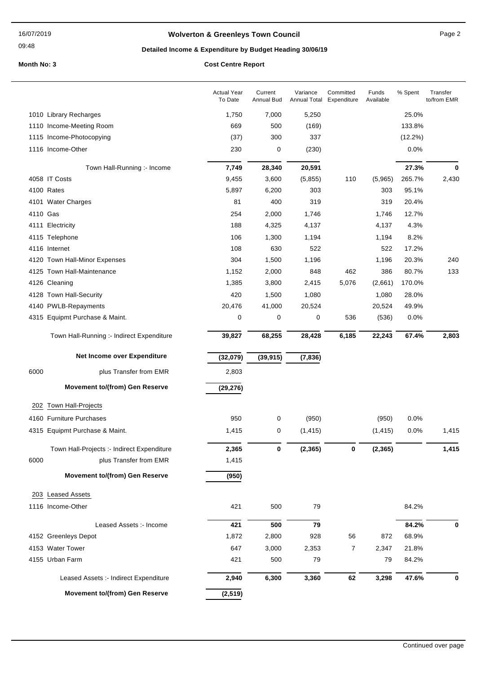#### 09:48

## **Wolverton & Greenleys Town Council** Manual Page 2

# **Detailed Income & Expenditure by Budget Heading 30/06/19**

|          |                                            | <b>Actual Year</b><br>To Date | Current<br>Annual Bud | Variance | Committed<br>Annual Total Expenditure | Funds<br>Available | % Spent    | Transfer<br>to/from EMR |
|----------|--------------------------------------------|-------------------------------|-----------------------|----------|---------------------------------------|--------------------|------------|-------------------------|
|          | 1010 Library Recharges                     | 1,750                         | 7,000                 | 5,250    |                                       |                    | 25.0%      |                         |
|          | 1110 Income-Meeting Room                   | 669                           | 500                   | (169)    |                                       |                    | 133.8%     |                         |
|          | 1115 Income-Photocopying                   | (37)                          | 300                   | 337      |                                       |                    | $(12.2\%)$ |                         |
|          | 1116 Income-Other                          | 230                           | 0                     | (230)    |                                       |                    | 0.0%       |                         |
|          | Town Hall-Running :- Income                | 7,749                         | 28,340                | 20,591   |                                       |                    | 27.3%      | 0                       |
|          | 4058 IT Costs                              | 9,455                         | 3,600                 | (5,855)  | 110                                   | (5,965)            | 265.7%     | 2,430                   |
|          | 4100 Rates                                 | 5,897                         | 6,200                 | 303      |                                       | 303                | 95.1%      |                         |
|          | 4101 Water Charges                         | 81                            | 400                   | 319      |                                       | 319                | 20.4%      |                         |
| 4110 Gas |                                            | 254                           | 2,000                 | 1,746    |                                       | 1,746              | 12.7%      |                         |
|          | 4111 Electricity                           | 188                           | 4,325                 | 4,137    |                                       | 4,137              | 4.3%       |                         |
|          | 4115 Telephone                             | 106                           | 1,300                 | 1,194    |                                       | 1,194              | 8.2%       |                         |
|          | 4116 Internet                              | 108                           | 630                   | 522      |                                       | 522                | 17.2%      |                         |
|          | 4120 Town Hall-Minor Expenses              | 304                           | 1,500                 | 1,196    |                                       | 1,196              | 20.3%      | 240                     |
|          | 4125 Town Hall-Maintenance                 | 1,152                         | 2,000                 | 848      | 462                                   | 386                | 80.7%      | 133                     |
|          | 4126 Cleaning                              | 1,385                         | 3,800                 | 2,415    | 5,076                                 | (2,661)            | 170.0%     |                         |
|          | 4128 Town Hall-Security                    | 420                           | 1,500                 | 1,080    |                                       | 1,080              | 28.0%      |                         |
|          | 4140 PWLB-Repayments                       | 20,476                        | 41,000                | 20,524   |                                       | 20,524             | 49.9%      |                         |
|          | 4315 Equipmt Purchase & Maint.             | 0                             | 0                     | 0        | 536                                   | (536)              | 0.0%       |                         |
|          | Town Hall-Running :- Indirect Expenditure  | 39,827                        | 68,255                | 28,428   | 6,185                                 | 22,243             | 67.4%      | 2,803                   |
|          | Net Income over Expenditure                | (32,079)                      | (39, 915)             | (7, 836) |                                       |                    |            |                         |
| 6000     | plus Transfer from EMR                     | 2,803                         |                       |          |                                       |                    |            |                         |
|          | <b>Movement to/(from) Gen Reserve</b>      | (29, 276)                     |                       |          |                                       |                    |            |                         |
| 202      | <b>Town Hall-Projects</b>                  |                               |                       |          |                                       |                    |            |                         |
|          | 4160 Furniture Purchases                   | 950                           | 0                     | (950)    |                                       | (950)              | 0.0%       |                         |
|          | 4315 Equipmt Purchase & Maint.             | 1,415                         | 0                     | (1, 415) |                                       | (1, 415)           | 0.0%       | 1,415                   |
|          | Town Hall-Projects :- Indirect Expenditure | 2,365                         | 0                     | (2, 365) | 0                                     | (2, 365)           |            | 1,415                   |
| 6000     | plus Transfer from EMR                     | 1,415                         |                       |          |                                       |                    |            |                         |
|          | <b>Movement to/(from) Gen Reserve</b>      | (950)                         |                       |          |                                       |                    |            |                         |
|          | 203 Leased Assets                          |                               |                       |          |                                       |                    |            |                         |
|          | 1116 Income-Other                          | 421                           | 500                   | 79       |                                       |                    | 84.2%      |                         |
|          | Leased Assets :- Income                    | 421                           | 500                   | 79       |                                       |                    | 84.2%      | 0                       |
|          | 4152 Greenleys Depot                       | 1,872                         | 2,800                 | 928      | 56                                    | 872                | 68.9%      |                         |
|          | 4153 Water Tower                           | 647                           | 3,000                 | 2,353    | 7                                     | 2,347              | 21.8%      |                         |
|          | 4155 Urban Farm                            | 421                           | 500                   | 79       |                                       | 79                 | 84.2%      |                         |
|          | Leased Assets :- Indirect Expenditure      | 2,940                         | 6,300                 | 3,360    | 62                                    | 3,298              | 47.6%      | 0                       |
|          | Movement to/(from) Gen Reserve             | (2, 519)                      |                       |          |                                       |                    |            |                         |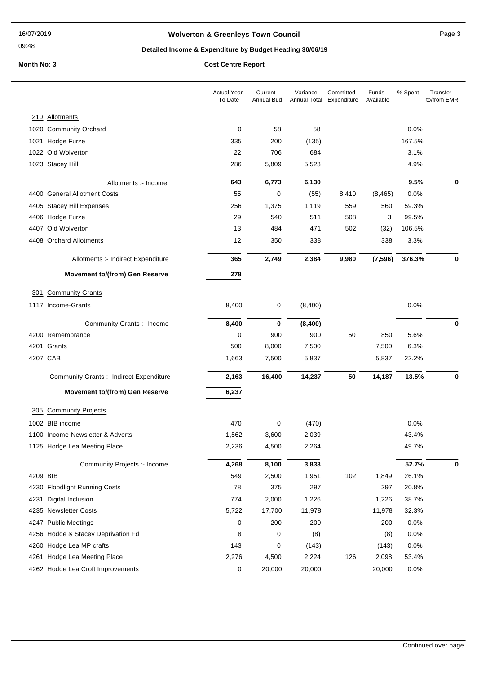09:48

## **Wolverton & Greenleys Town Council** Manual Page 3

## **Detailed Income & Expenditure by Budget Heading 30/06/19**

|          |                                                     | <b>Actual Year</b><br>To Date | Current<br><b>Annual Bud</b> | Variance<br>Annual Total | Committed<br>Expenditure | Funds<br>Available | % Spent       | Transfer<br>to/from EMR |
|----------|-----------------------------------------------------|-------------------------------|------------------------------|--------------------------|--------------------------|--------------------|---------------|-------------------------|
|          | 210 Allotments                                      |                               |                              |                          |                          |                    |               |                         |
|          | 1020 Community Orchard                              | 0                             | 58                           | 58                       |                          |                    | 0.0%          |                         |
|          | 1021 Hodge Furze                                    | 335                           | 200                          | (135)                    |                          |                    | 167.5%        |                         |
|          | 1022 Old Wolverton                                  | 22                            | 706                          | 684                      |                          |                    | 3.1%          |                         |
|          | 1023 Stacey Hill                                    | 286                           | 5,809                        | 5,523                    |                          |                    | 4.9%          |                         |
|          | Allotments :- Income                                | 643                           | 6,773                        | 6,130                    |                          |                    | 9.5%          | 0                       |
|          | 4400 General Allotment Costs                        | 55                            | $\mathbf 0$                  | (55)                     | 8,410                    | (8, 465)           | 0.0%          |                         |
|          | 4405 Stacey Hill Expenses                           | 256                           | 1,375                        | 1,119                    | 559                      | 560                | 59.3%         |                         |
|          | 4406 Hodge Furze                                    | 29                            | 540                          | 511                      | 508                      | 3                  | 99.5%         |                         |
|          | 4407 Old Wolverton                                  | 13                            | 484                          | 471                      | 502                      | (32)               | 106.5%        |                         |
|          | 4408 Orchard Allotments                             | 12                            | 350                          | 338                      |                          | 338                | 3.3%          |                         |
|          | Allotments :- Indirect Expenditure                  | 365                           | 2,749                        | 2,384                    | 9,980                    | (7, 596)           | 376.3%        | 0                       |
|          | <b>Movement to/(from) Gen Reserve</b>               | 278                           |                              |                          |                          |                    |               |                         |
| 301      | <b>Community Grants</b>                             |                               |                              |                          |                          |                    |               |                         |
|          | 1117 Income-Grants                                  | 8,400                         | 0                            | (8,400)                  |                          |                    | 0.0%          |                         |
|          | Community Grants :- Income                          | 8,400                         | 0                            | (8,400)                  |                          |                    |               | 0                       |
|          | 4200 Remembrance                                    | 0                             | 900                          | 900                      | 50                       | 850                | 5.6%          |                         |
|          | 4201 Grants                                         | 500                           | 8,000                        | 7,500                    |                          | 7,500              | 6.3%          |                         |
|          | 4207 CAB                                            | 1,663                         | 7,500                        | 5,837                    |                          | 5,837              | 22.2%         |                         |
|          | <b>Community Grants :- Indirect Expenditure</b>     | 2,163                         | 16,400                       | 14,237                   | 50                       | 14,187             | 13.5%         | 0                       |
|          | <b>Movement to/(from) Gen Reserve</b>               | 6,237                         |                              |                          |                          |                    |               |                         |
|          | <b>Community Projects</b>                           |                               |                              |                          |                          |                    |               |                         |
| 305      |                                                     |                               |                              |                          |                          |                    |               |                         |
|          | 1002 BIB income<br>1100 Income-Newsletter & Adverts | 470<br>1,562                  | 0                            | (470)                    |                          |                    | 0.0%<br>43.4% |                         |
|          |                                                     |                               | 3,600                        | 2,039                    |                          |                    |               |                         |
|          | 1125 Hodge Lea Meeting Place                        | 2,236                         | 4,500                        | 2,264                    |                          |                    | 49.7%         |                         |
|          | Community Projects :- Income                        | 4,268                         | 8,100                        | 3,833                    |                          |                    | 52.7%         | 0                       |
| 4209 BIB |                                                     | 549                           | 2,500                        | 1,951                    | 102                      | 1,849              | 26.1%         |                         |
|          | 4230 Floodlight Running Costs                       | 78                            | 375                          | 297                      |                          | 297                | 20.8%         |                         |
|          | 4231 Digital Inclusion                              | 774                           | 2,000                        | 1,226                    |                          | 1,226              | 38.7%         |                         |
|          | 4235 Newsletter Costs                               | 5,722                         | 17,700                       | 11,978                   |                          | 11,978             | 32.3%         |                         |
|          | 4247 Public Meetings                                | 0                             | 200                          | 200                      |                          | 200                | 0.0%          |                         |
|          | 4256 Hodge & Stacey Deprivation Fd                  | 8                             | 0                            | (8)                      |                          | (8)                | 0.0%          |                         |
|          | 4260 Hodge Lea MP crafts                            | 143                           | 0                            | (143)                    |                          | (143)              | 0.0%          |                         |
|          | 4261 Hodge Lea Meeting Place                        | 2,276                         | 4,500                        | 2,224                    | 126                      | 2,098              | 53.4%         |                         |
|          | 4262 Hodge Lea Croft Improvements                   | 0                             | 20,000                       | 20,000                   |                          | 20,000             | 0.0%          |                         |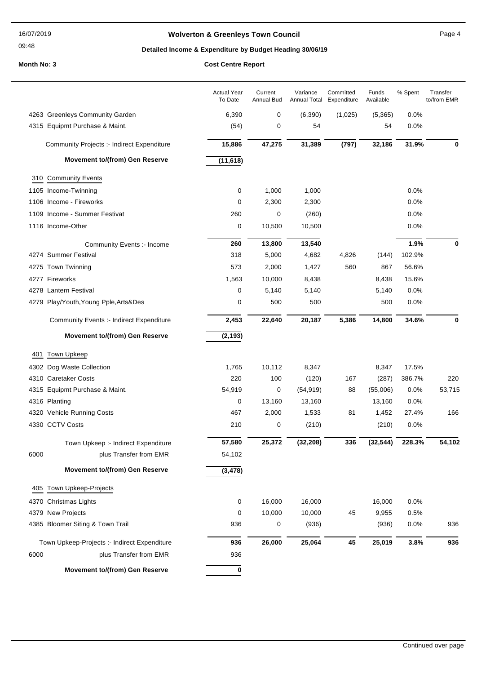#### 16/07/2019

### 09:48

## **Wolverton & Greenleys Town Council Contract Contract Contract Page 4**

## **Detailed Income & Expenditure by Budget Heading 30/06/19**

|      |                                                 | <b>Actual Year</b><br>To Date | Current<br>Annual Bud | Variance<br>Annual Total | Committed<br>Expenditure | Funds<br>Available | % Spent | Transfer<br>to/from EMR |
|------|-------------------------------------------------|-------------------------------|-----------------------|--------------------------|--------------------------|--------------------|---------|-------------------------|
|      | 4263 Greenleys Community Garden                 | 6,390                         | 0                     | (6, 390)                 | (1,025)                  | (5,365)            | 0.0%    |                         |
|      | 4315 Equipmt Purchase & Maint.                  | (54)                          | 0                     | 54                       |                          | 54                 | 0.0%    |                         |
|      | Community Projects :- Indirect Expenditure      | 15,886                        | 47,275                | 31,389                   | (797)                    | 32,186             | 31.9%   | $\bf{0}$                |
|      | <b>Movement to/(from) Gen Reserve</b>           | (11, 618)                     |                       |                          |                          |                    |         |                         |
|      | 310 Community Events                            |                               |                       |                          |                          |                    |         |                         |
|      | 1105 Income-Twinning                            | 0                             | 1,000                 | 1,000                    |                          |                    | 0.0%    |                         |
|      | 1106 Income - Fireworks                         | 0                             | 2,300                 | 2,300                    |                          |                    | 0.0%    |                         |
|      | 1109 Income - Summer Festivat                   | 260                           | 0                     | (260)                    |                          |                    | 0.0%    |                         |
|      | 1116 Income-Other                               | 0                             | 10,500                | 10,500                   |                          |                    | 0.0%    |                         |
|      | Community Events :- Income                      | 260                           | 13,800                | 13,540                   |                          |                    | 1.9%    | 0                       |
|      | 4274 Summer Festival                            | 318                           | 5,000                 | 4,682                    | 4,826                    | (144)              | 102.9%  |                         |
|      | 4275 Town Twinning                              | 573                           | 2,000                 | 1,427                    | 560                      | 867                | 56.6%   |                         |
|      | 4277 Fireworks                                  | 1,563                         | 10,000                | 8,438                    |                          | 8,438              | 15.6%   |                         |
|      | 4278 Lantern Festival                           | 0                             | 5,140                 | 5,140                    |                          | 5,140              | 0.0%    |                         |
|      | 4279 Play/Youth, Young Pple, Arts&Des           | 0                             | 500                   | 500                      |                          | 500                | 0.0%    |                         |
|      | <b>Community Events :- Indirect Expenditure</b> | 2,453                         | 22,640                | 20,187                   | 5,386                    | 14,800             | 34.6%   | 0                       |
|      | <b>Movement to/(from) Gen Reserve</b>           | (2, 193)                      |                       |                          |                          |                    |         |                         |
| 401  | <b>Town Upkeep</b>                              |                               |                       |                          |                          |                    |         |                         |
|      | 4302 Dog Waste Collection                       | 1,765                         | 10,112                | 8,347                    |                          | 8,347              | 17.5%   |                         |
|      | 4310 Caretaker Costs                            | 220                           | 100                   | (120)                    | 167                      | (287)              | 386.7%  | 220                     |
|      | 4315 Equipmt Purchase & Maint.                  | 54,919                        | 0                     | (54, 919)                | 88                       | (55,006)           | $0.0\%$ | 53,715                  |
|      | 4316 Planting                                   | 0                             | 13,160                | 13,160                   |                          | 13,160             | $0.0\%$ |                         |
|      | 4320 Vehicle Running Costs                      | 467                           | 2,000                 | 1,533                    | 81                       | 1,452              | 27.4%   | 166                     |
|      | 4330 CCTV Costs                                 | 210                           | 0                     | (210)                    |                          | (210)              | 0.0%    |                         |
|      | Town Upkeep :- Indirect Expenditure             | 57,580                        | 25,372                | (32, 208)                | 336                      | (32, 544)          | 228.3%  | 54.102                  |
| 6000 | plus Transfer from EMR                          | 54,102                        |                       |                          |                          |                    |         |                         |
|      | <b>Movement to/(from) Gen Reserve</b>           | (3, 478)                      |                       |                          |                          |                    |         |                         |
|      | 405 Town Upkeep-Projects                        |                               |                       |                          |                          |                    |         |                         |
|      | 4370 Christmas Lights                           | 0                             | 16,000                | 16,000                   |                          | 16,000             | 0.0%    |                         |
|      | 4379 New Projects                               | 0                             | 10,000                | 10,000                   | 45                       | 9,955              | 0.5%    |                         |
|      | 4385 Bloomer Siting & Town Trail                | 936                           | 0                     | (936)                    |                          | (936)              | 0.0%    | 936                     |
|      | Town Upkeep-Projects :- Indirect Expenditure    | 936                           | 26,000                | 25,064                   | 45                       | 25,019             | 3.8%    | 936                     |
| 6000 | plus Transfer from EMR                          | 936                           |                       |                          |                          |                    |         |                         |
|      | <b>Movement to/(from) Gen Reserve</b>           | 0                             |                       |                          |                          |                    |         |                         |